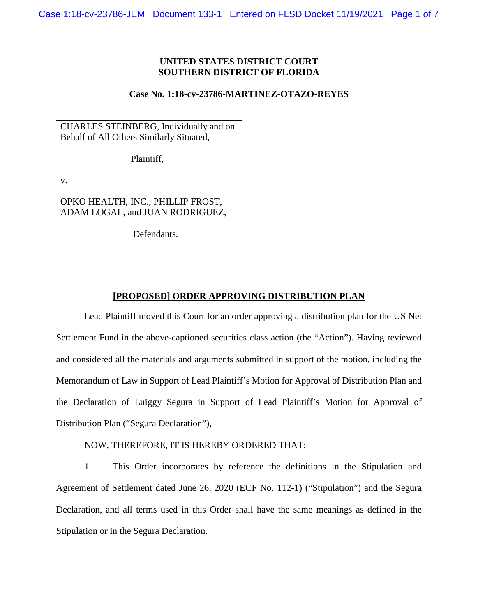## **UNITED STATES DISTRICT COURT SOUTHERN DISTRICT OF FLORIDA**

## **Case No. 1:18-cv-23786-MARTINEZ-OTAZO-REYES**

CHARLES STEINBERG, Individually and on Behalf of All Others Similarly Situated,

Plaintiff,

v.

OPKO HEALTH, INC., PHILLIP FROST, ADAM LOGAL, and JUAN RODRIGUEZ,

Defendants.

## **[PROPOSED] ORDER APPROVING DISTRIBUTION PLAN**

Lead Plaintiff moved this Court for an order approving a distribution plan for the US Net Settlement Fund in the above-captioned securities class action (the "Action"). Having reviewed and considered all the materials and arguments submitted in support of the motion, including the Memorandum of Law in Support of Lead Plaintiff's Motion for Approval of Distribution Plan and the Declaration of Luiggy Segura in Support of Lead Plaintiff's Motion for Approval of Distribution Plan ("Segura Declaration"),

NOW, THEREFORE, IT IS HEREBY ORDERED THAT:

1. This Order incorporates by reference the definitions in the Stipulation and Agreement of Settlement dated June 26, 2020 (ECF No. 112-1) ("Stipulation") and the Segura Declaration, and all terms used in this Order shall have the same meanings as defined in the Stipulation or in the Segura Declaration.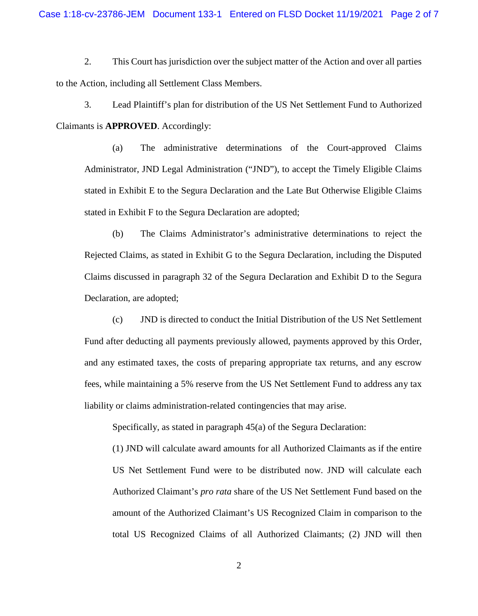2. This Court has jurisdiction over the subject matter of the Action and over all parties to the Action, including all Settlement Class Members.

3. Lead Plaintiff's plan for distribution of the US Net Settlement Fund to Authorized Claimants is **APPROVED**. Accordingly:

(a) The administrative determinations of the Court-approved Claims Administrator, JND Legal Administration ("JND"), to accept the Timely Eligible Claims stated in Exhibit E to the Segura Declaration and the Late But Otherwise Eligible Claims stated in Exhibit F to the Segura Declaration are adopted;

(b) The Claims Administrator's administrative determinations to reject the Rejected Claims, as stated in Exhibit G to the Segura Declaration, including the Disputed Claims discussed in paragraph 32 of the Segura Declaration and Exhibit D to the Segura Declaration, are adopted;

(c) JND is directed to conduct the Initial Distribution of the US Net Settlement Fund after deducting all payments previously allowed, payments approved by this Order, and any estimated taxes, the costs of preparing appropriate tax returns, and any escrow fees, while maintaining a 5% reserve from the US Net Settlement Fund to address any tax liability or claims administration-related contingencies that may arise.

Specifically, as stated in paragraph 45(a) of the Segura Declaration:

(1) JND will calculate award amounts for all Authorized Claimants as if the entire US Net Settlement Fund were to be distributed now. JND will calculate each Authorized Claimant's *pro rata* share of the US Net Settlement Fund based on the amount of the Authorized Claimant's US Recognized Claim in comparison to the total US Recognized Claims of all Authorized Claimants; (2) JND will then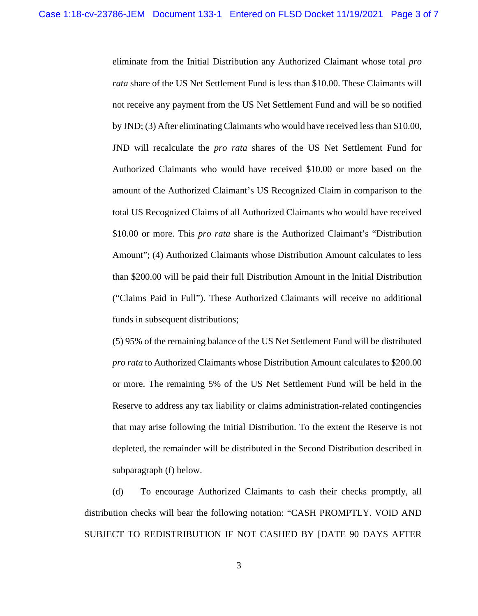eliminate from the Initial Distribution any Authorized Claimant whose total *pro rata* share of the US Net Settlement Fund is less than \$10.00. These Claimants will not receive any payment from the US Net Settlement Fund and will be so notified by JND; (3) After eliminating Claimants who would have received less than \$10.00, JND will recalculate the *pro rata* shares of the US Net Settlement Fund for Authorized Claimants who would have received \$10.00 or more based on the amount of the Authorized Claimant's US Recognized Claim in comparison to the total US Recognized Claims of all Authorized Claimants who would have received \$10.00 or more. This *pro rata* share is the Authorized Claimant's "Distribution Amount"; (4) Authorized Claimants whose Distribution Amount calculates to less than \$200.00 will be paid their full Distribution Amount in the Initial Distribution ("Claims Paid in Full"). These Authorized Claimants will receive no additional funds in subsequent distributions;

(5) 95% of the remaining balance of the US Net Settlement Fund will be distributed *pro rata* to Authorized Claimants whose Distribution Amount calculates to \$200.00 or more. The remaining 5% of the US Net Settlement Fund will be held in the Reserve to address any tax liability or claims administration-related contingencies that may arise following the Initial Distribution. To the extent the Reserve is not depleted, the remainder will be distributed in the Second Distribution described in subparagraph (f) below.

(d) To encourage Authorized Claimants to cash their checks promptly, all distribution checks will bear the following notation: "CASH PROMPTLY. VOID AND SUBJECT TO REDISTRIBUTION IF NOT CASHED BY [DATE 90 DAYS AFTER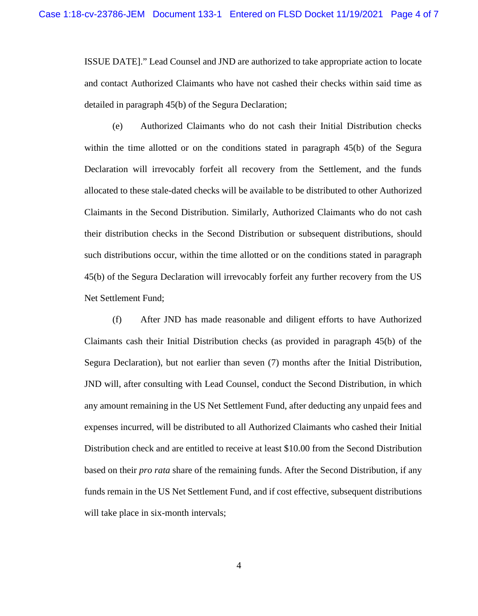ISSUE DATE]." Lead Counsel and JND are authorized to take appropriate action to locate and contact Authorized Claimants who have not cashed their checks within said time as detailed in paragraph 45(b) of the Segura Declaration;

(e) Authorized Claimants who do not cash their Initial Distribution checks within the time allotted or on the conditions stated in paragraph 45(b) of the Segura Declaration will irrevocably forfeit all recovery from the Settlement, and the funds allocated to these stale-dated checks will be available to be distributed to other Authorized Claimants in the Second Distribution. Similarly, Authorized Claimants who do not cash their distribution checks in the Second Distribution or subsequent distributions, should such distributions occur, within the time allotted or on the conditions stated in paragraph 45(b) of the Segura Declaration will irrevocably forfeit any further recovery from the US Net Settlement Fund;

(f) After JND has made reasonable and diligent efforts to have Authorized Claimants cash their Initial Distribution checks (as provided in paragraph 45(b) of the Segura Declaration), but not earlier than seven (7) months after the Initial Distribution, JND will, after consulting with Lead Counsel, conduct the Second Distribution, in which any amount remaining in the US Net Settlement Fund, after deducting any unpaid fees and expenses incurred, will be distributed to all Authorized Claimants who cashed their Initial Distribution check and are entitled to receive at least \$10.00 from the Second Distribution based on their *pro rata* share of the remaining funds. After the Second Distribution, if any funds remain in the US Net Settlement Fund, and if cost effective, subsequent distributions will take place in six-month intervals;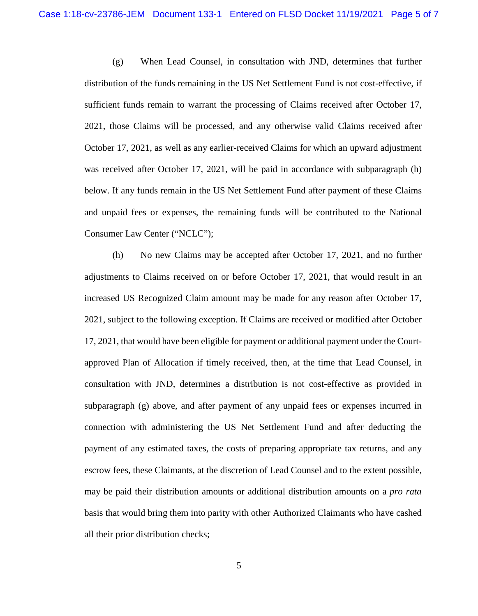(g) When Lead Counsel, in consultation with JND, determines that further distribution of the funds remaining in the US Net Settlement Fund is not cost-effective, if sufficient funds remain to warrant the processing of Claims received after October 17, 2021, those Claims will be processed, and any otherwise valid Claims received after October 17, 2021, as well as any earlier-received Claims for which an upward adjustment was received after October 17, 2021, will be paid in accordance with subparagraph (h) below. If any funds remain in the US Net Settlement Fund after payment of these Claims and unpaid fees or expenses, the remaining funds will be contributed to the National Consumer Law Center ("NCLC");

(h) No new Claims may be accepted after October 17, 2021, and no further adjustments to Claims received on or before October 17, 2021, that would result in an increased US Recognized Claim amount may be made for any reason after October 17, 2021, subject to the following exception. If Claims are received or modified after October 17, 2021, that would have been eligible for payment or additional payment under the Courtapproved Plan of Allocation if timely received, then, at the time that Lead Counsel, in consultation with JND, determines a distribution is not cost-effective as provided in subparagraph (g) above, and after payment of any unpaid fees or expenses incurred in connection with administering the US Net Settlement Fund and after deducting the payment of any estimated taxes, the costs of preparing appropriate tax returns, and any escrow fees, these Claimants, at the discretion of Lead Counsel and to the extent possible, may be paid their distribution amounts or additional distribution amounts on a *pro rata* basis that would bring them into parity with other Authorized Claimants who have cashed all their prior distribution checks;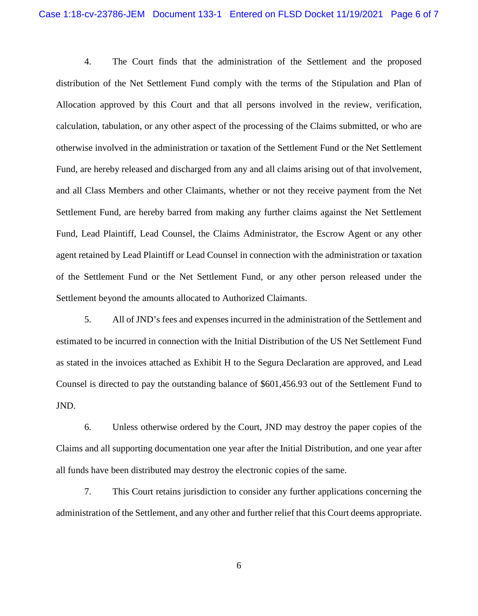4. The Court finds that the administration of the Settlement and the proposed distribution of the Net Settlement Fund comply with the terms of the Stipulation and Plan of Allocation approved by this Court and that all persons involved in the review, verification, calculation, tabulation, or any other aspect of the processing of the Claims submitted, or who are otherwise involved in the administration or taxation of the Settlement Fund or the Net Settlement Fund, are hereby released and discharged from any and all claims arising out of that involvement, and all Class Members and other Claimants, whether or not they receive payment from the Net Settlement Fund, are hereby barred from making any further claims against the Net Settlement Fund, Lead Plaintiff, Lead Counsel, the Claims Administrator, the Escrow Agent or any other agent retained by Lead Plaintiff or Lead Counsel in connection with the administration or taxation of the Settlement Fund or the Net Settlement Fund, or any other person released under the Settlement beyond the amounts allocated to Authorized Claimants.

5. All of JND's fees and expenses incurred in the administration of the Settlement and estimated to be incurred in connection with the Initial Distribution of the US Net Settlement Fund as stated in the invoices attached as Exhibit H to the Segura Declaration are approved, and Lead Counsel is directed to pay the outstanding balance of \$601,456.93 out of the Settlement Fund to JND.

6. Unless otherwise ordered by the Court, JND may destroy the paper copies of the Claims and all supporting documentation one year after the Initial Distribution, and one year after all funds have been distributed may destroy the electronic copies of the same.

7. This Court retains jurisdiction to consider any further applications concerning the administration of the Settlement, and any other and further relief that this Court deems appropriate.

6